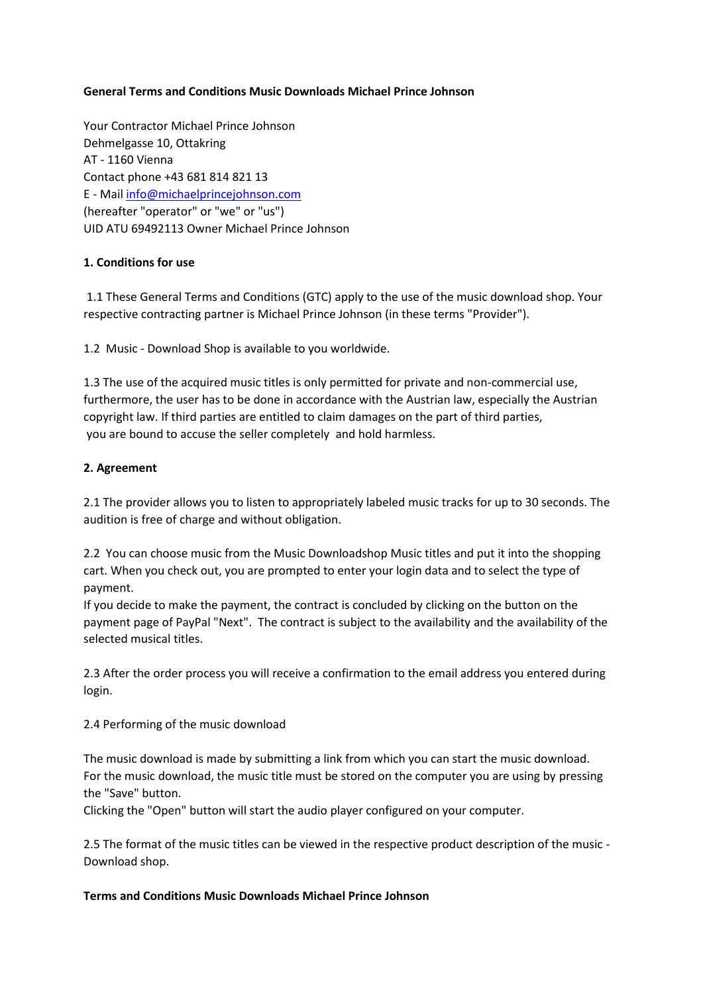## **General Terms and Conditions Music Downloads Michael Prince Johnson**

Your Contractor Michael Prince Johnson Dehmelgasse 10, Ottakring AT - 1160 Vienna Contact phone +43 681 814 821 13 E - Mail [info@michaelprincejohnson.com](mailto:info@michaelprincejohnson.com) (hereafter "operator" or "we" or "us") UID ATU 69492113 Owner Michael Prince Johnson

### **1. Conditions for use**

1.1 These General Terms and Conditions (GTC) apply to the use of the music download shop. Your respective contracting partner is Michael Prince Johnson (in these terms "Provider").

1.2 Music - Download Shop is available to you worldwide.

1.3 The use of the acquired music titles is only permitted for private and non-commercial use, furthermore, the user has to be done in accordance with the Austrian law, especially the Austrian copyright law. If third parties are entitled to claim damages on the part of third parties, you are bound to accuse the seller completely and hold harmless.

### **2. Agreement**

2.1 The provider allows you to listen to appropriately labeled music tracks for up to 30 seconds. The audition is free of charge and without obligation.

2.2 You can choose music from the Music Downloadshop Music titles and put it into the shopping cart. When you check out, you are prompted to enter your login data and to select the type of payment.

If you decide to make the payment, the contract is concluded by clicking on the button on the payment page of PayPal "Next". The contract is subject to the availability and the availability of the selected musical titles.

2.3 After the order process you will receive a confirmation to the email address you entered during login.

2.4 Performing of the music download

The music download is made by submitting a link from which you can start the music download. For the music download, the music title must be stored on the computer you are using by pressing the "Save" button.

Clicking the "Open" button will start the audio player configured on your computer.

2.5 The format of the music titles can be viewed in the respective product description of the music - Download shop.

#### **Terms and Conditions Music Downloads Michael Prince Johnson**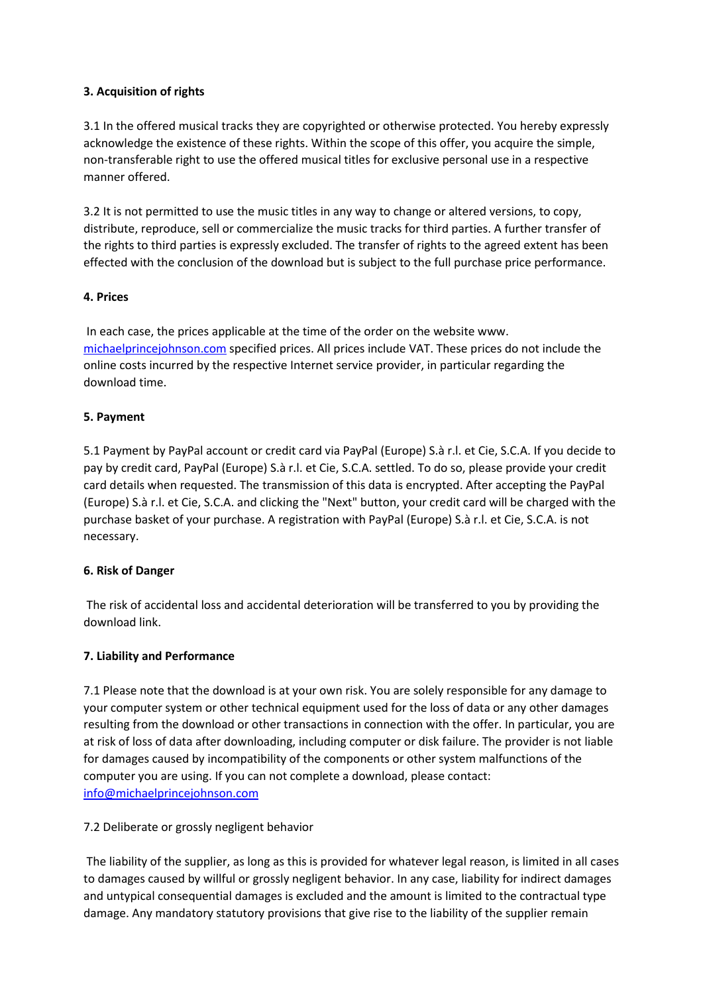## **3. Acquisition of rights**

3.1 In the offered musical tracks they are copyrighted or otherwise protected. You hereby expressly acknowledge the existence of these rights. Within the scope of this offer, you acquire the simple, non-transferable right to use the offered musical titles for exclusive personal use in a respective manner offered.

3.2 It is not permitted to use the music titles in any way to change or altered versions, to copy, distribute, reproduce, sell or commercialize the music tracks for third parties. A further transfer of the rights to third parties is expressly excluded. The transfer of rights to the agreed extent has been effected with the conclusion of the download but is subject to the full purchase price performance.

## **4. Prices**

In each case, the prices applicable at the time of the order on the website www. [michaelprincejohnson.com](http://michaelprincejohnson.com/) specified prices. All prices include VAT. These prices do not include the online costs incurred by the respective Internet service provider, in particular regarding the download time.

# **5. Payment**

5.1 Payment by PayPal account or credit card via PayPal (Europe) S.à r.l. et Cie, S.C.A. If you decide to pay by credit card, PayPal (Europe) S.à r.l. et Cie, S.C.A. settled. To do so, please provide your credit card details when requested. The transmission of this data is encrypted. After accepting the PayPal (Europe) S.à r.l. et Cie, S.C.A. and clicking the "Next" button, your credit card will be charged with the purchase basket of your purchase. A registration with PayPal (Europe) S.à r.l. et Cie, S.C.A. is not necessary.

## **6. Risk of Danger**

The risk of accidental loss and accidental deterioration will be transferred to you by providing the download link.

## **7. Liability and Performance**

7.1 Please note that the download is at your own risk. You are solely responsible for any damage to your computer system or other technical equipment used for the loss of data or any other damages resulting from the download or other transactions in connection with the offer. In particular, you are at risk of loss of data after downloading, including computer or disk failure. The provider is not liable for damages caused by incompatibility of the components or other system malfunctions of the computer you are using. If you can not complete a download, please contact: [info@michaelprincejohnson.com](mailto:info@michaelprincejohnson.com)

## 7.2 Deliberate or grossly negligent behavior

The liability of the supplier, as long as this is provided for whatever legal reason, is limited in all cases to damages caused by willful or grossly negligent behavior. In any case, liability for indirect damages and untypical consequential damages is excluded and the amount is limited to the contractual type damage. Any mandatory statutory provisions that give rise to the liability of the supplier remain